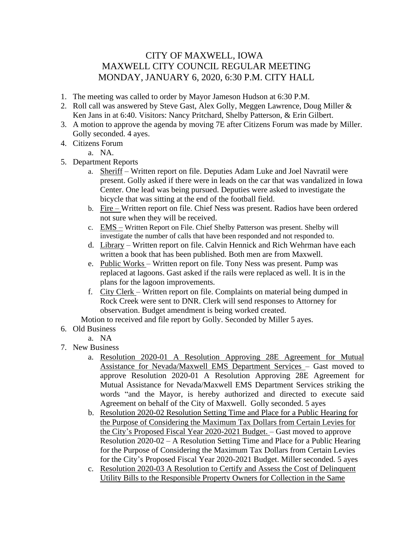## CITY OF MAXWELL, IOWA MAXWELL CITY COUNCIL REGULAR MEETING MONDAY, JANUARY 6, 2020, 6:30 P.M. CITY HALL

- 1. The meeting was called to order by Mayor Jameson Hudson at 6:30 P.M.
- 2. Roll call was answered by Steve Gast, Alex Golly, Meggen Lawrence, Doug Miller & Ken Jans in at 6:40. Visitors: Nancy Pritchard, Shelby Patterson, & Erin Gilbert.
- 3. A motion to approve the agenda by moving 7E after Citizens Forum was made by Miller. Golly seconded. 4 ayes.
- 4. Citizens Forum
	- a. NA.
- 5. Department Reports
	- a. Sheriff Written report on file. Deputies Adam Luke and Joel Navratil were present. Golly asked if there were in leads on the car that was vandalized in Iowa Center. One lead was being pursued. Deputies were asked to investigate the bicycle that was sitting at the end of the football field.
	- b. Fire Written report on file. Chief Ness was present. Radios have been ordered not sure when they will be received.
	- c. EMS Written Report on File. Chief Shelby Patterson was present. Shelby will investigate the number of calls that have been responded and not responded to.
	- d. Library Written report on file. Calvin Hennick and Rich Wehrman have each written a book that has been published. Both men are from Maxwell.
	- e. Public Works Written report on file. Tony Ness was present. Pump was replaced at lagoons. Gast asked if the rails were replaced as well. It is in the plans for the lagoon improvements.
	- f. City Clerk Written report on file. Complaints on material being dumped in Rock Creek were sent to DNR. Clerk will send responses to Attorney for observation. Budget amendment is being worked created.

Motion to received and file report by Golly. Seconded by Miller 5 ayes.

- 6. Old Business
	- a. NA
- 7. New Business
	- a. Resolution 2020-01 A Resolution Approving 28E Agreement for Mutual Assistance for Nevada/Maxwell EMS Department Services – Gast moved to approve Resolution 2020-01 A Resolution Approving 28E Agreement for Mutual Assistance for Nevada/Maxwell EMS Department Services striking the words "and the Mayor, is hereby authorized and directed to execute said Agreement on behalf of the City of Maxwell. Golly seconded. 5 ayes
	- b. Resolution 2020-02 Resolution Setting Time and Place for a Public Hearing for the Purpose of Considering the Maximum Tax Dollars from Certain Levies for the City's Proposed Fiscal Year 2020-2021 Budget. – Gast moved to approve Resolution 2020-02 – A Resolution Setting Time and Place for a Public Hearing for the Purpose of Considering the Maximum Tax Dollars from Certain Levies for the City's Proposed Fiscal Year 2020-2021 Budget. Miller seconded. 5 ayes
	- c. Resolution 2020-03 A Resolution to Certify and Assess the Cost of Delinquent Utility Bills to the Responsible Property Owners for Collection in the Same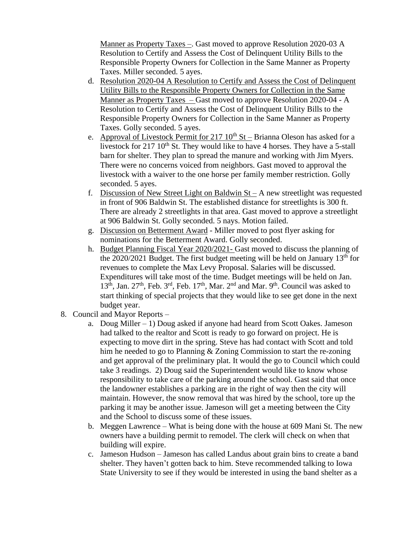Manner as Property Taxes –. Gast moved to approve Resolution 2020-03 A Resolution to Certify and Assess the Cost of Delinquent Utility Bills to the Responsible Property Owners for Collection in the Same Manner as Property Taxes. Miller seconded. 5 ayes.

- d. Resolution 2020-04 A Resolution to Certify and Assess the Cost of Delinquent Utility Bills to the Responsible Property Owners for Collection in the Same Manner as Property Taxes – Gast moved to approve Resolution 2020-04 - A Resolution to Certify and Assess the Cost of Delinquent Utility Bills to the Responsible Property Owners for Collection in the Same Manner as Property Taxes. Golly seconded. 5 ayes.
- e. Approval of Livestock Permit for  $217 \times 10^{th}$  St Brianna Oleson has asked for a livestock for 217 10<sup>th</sup> St. They would like to have 4 horses. They have a 5-stall barn for shelter. They plan to spread the manure and working with Jim Myers. There were no concerns voiced from neighbors. Gast moved to approval the livestock with a waiver to the one horse per family member restriction. Golly seconded. 5 ayes.
- f. Discussion of New Street Light on Baldwin St A new streetlight was requested in front of 906 Baldwin St. The established distance for streetlights is 300 ft. There are already 2 streetlights in that area. Gast moved to approve a streetlight at 906 Baldwin St. Golly seconded. 5 nays. Motion failed.
- g. Discussion on Betterment Award Miller moved to post flyer asking for nominations for the Betterment Award. Golly seconded.
- h. Budget Planning Fiscal Year 2020/2021- Gast moved to discuss the planning of the 2020/2021 Budget. The first budget meeting will be held on January  $13<sup>th</sup>$  for revenues to complete the Max Levy Proposal. Salaries will be discussed. Expenditures will take most of the time. Budget meetings will be held on Jan.  $13<sup>th</sup>$ , Jan.  $27<sup>th</sup>$ , Feb.  $3<sup>rd</sup>$ , Feb.  $17<sup>th</sup>$ , Mar.  $2<sup>nd</sup>$  and Mar.  $9<sup>th</sup>$ . Council was asked to start thinking of special projects that they would like to see get done in the next budget year.
- 8. Council and Mayor Reports
	- a. Doug Miller 1) Doug asked if anyone had heard from Scott Oakes. Jameson had talked to the realtor and Scott is ready to go forward on project. He is expecting to move dirt in the spring. Steve has had contact with Scott and told him he needed to go to Planning & Zoning Commission to start the re-zoning and get approval of the preliminary plat. It would the go to Council which could take 3 readings. 2) Doug said the Superintendent would like to know whose responsibility to take care of the parking around the school. Gast said that once the landowner establishes a parking are in the right of way then the city will maintain. However, the snow removal that was hired by the school, tore up the parking it may be another issue. Jameson will get a meeting between the City and the School to discuss some of these issues.
	- b. Meggen Lawrence What is being done with the house at 609 Mani St. The new owners have a building permit to remodel. The clerk will check on when that building will expire.
	- c. Jameson Hudson Jameson has called Landus about grain bins to create a band shelter. They haven't gotten back to him. Steve recommended talking to Iowa State University to see if they would be interested in using the band shelter as a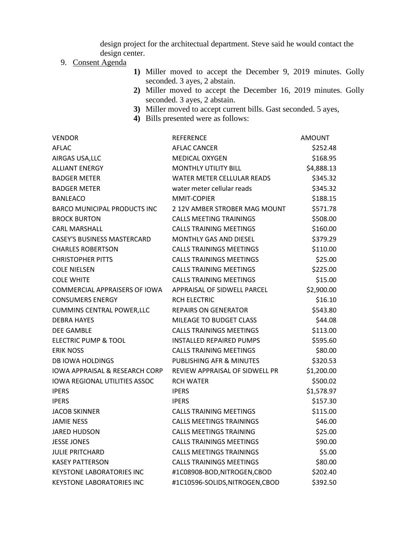design project for the architectual department. Steve said he would contact the design center.

## 9. Consent Agenda

- **1)** Miller moved to accept the December 9, 2019 minutes. Golly seconded. 3 ayes, 2 abstain.
- **2)** Miller moved to accept the December 16, 2019 minutes. Golly seconded. 3 ayes, 2 abstain.
- **3)** Miller moved to accept current bills. Gast seconded. 5 ayes,
- **4)** Bills presented were as follows:

| <b>VENDOR</b>                             | <b>REFERENCE</b>                  | <b>AMOUNT</b> |
|-------------------------------------------|-----------------------------------|---------------|
| AFLAC                                     | <b>AFLAC CANCER</b>               | \$252.48      |
| AIRGAS USA, LLC                           | <b>MEDICAL OXYGEN</b>             | \$168.95      |
| <b>ALLIANT ENERGY</b>                     | <b>MONTHLY UTILITY BILL</b>       | \$4,888.13    |
| <b>BADGER METER</b>                       | <b>WATER METER CELLULAR READS</b> | \$345.32      |
| <b>BADGER METER</b>                       | water meter cellular reads        | \$345.32      |
| <b>BANLEACO</b>                           | <b>MMIT-COPIER</b>                | \$188.15      |
| <b>BARCO MUNICIPAL PRODUCTS INC</b>       | 2 12V AMBER STROBER MAG MOUNT     | \$571.78      |
| <b>BROCK BURTON</b>                       | <b>CALLS MEETING TRAININGS</b>    | \$508.00      |
| <b>CARL MARSHALL</b>                      | <b>CALLS TRAINING MEETINGS</b>    | \$160.00      |
| <b>CASEY'S BUSINESS MASTERCARD</b>        | <b>MONTHLY GAS AND DIESEL</b>     | \$379.29      |
| <b>CHARLES ROBERTSON</b>                  | <b>CALLS TRAININGS MEETINGS</b>   | \$110.00      |
| <b>CHRISTOPHER PITTS</b>                  | <b>CALLS TRAININGS MEETINGS</b>   | \$25.00       |
| <b>COLE NIELSEN</b>                       | <b>CALLS TRAINING MEETINGS</b>    | \$225.00      |
| <b>COLE WHITE</b>                         | <b>CALLS TRAINING MEETINGS</b>    | \$15.00       |
| COMMERCIAL APPRAISERS OF IOWA             | APPRAISAL OF SIDWELL PARCEL       | \$2,900.00    |
| <b>CONSUMERS ENERGY</b>                   | <b>RCH ELECTRIC</b>               | \$16.10       |
| <b>CUMMINS CENTRAL POWER, LLC</b>         | <b>REPAIRS ON GENERATOR</b>       | \$543.80      |
| <b>DEBRA HAYES</b>                        | MILEAGE TO BUDGET CLASS           | \$44.08       |
| <b>DEE GAMBLE</b>                         | <b>CALLS TRAININGS MEETINGS</b>   | \$113.00      |
| <b>ELECTRIC PUMP &amp; TOOL</b>           | <b>INSTALLED REPAIRED PUMPS</b>   | \$595.60      |
| <b>ERIK NOSS</b>                          | <b>CALLS TRAINING MEETINGS</b>    | \$80.00       |
| <b>DB IOWA HOLDINGS</b>                   | PUBLISHING AFR & MINUTES          | \$320.53      |
| <b>IOWA APPRAISAL &amp; RESEARCH CORP</b> | REVIEW APPRAISAL OF SIDWELL PR    | \$1,200.00    |
| <b>IOWA REGIONAL UTILITIES ASSOC</b>      | <b>RCH WATER</b>                  | \$500.02      |
| <b>IPERS</b>                              | <b>IPERS</b>                      | \$1,578.97    |
| <b>IPERS</b>                              | <b>IPERS</b>                      | \$157.30      |
| <b>JACOB SKINNER</b>                      | <b>CALLS TRAINING MEETINGS</b>    | \$115.00      |
| <b>JAMIE NESS</b>                         | <b>CALLS MEETINGS TRAININGS</b>   | \$46.00       |
| <b>JARED HUDSON</b>                       | <b>CALLS MEETINGS TRAINING</b>    | \$25.00       |
| <b>JESSE JONES</b>                        | <b>CALLS TRAININGS MEETINGS</b>   | \$90.00       |
| <b>JULIE PRITCHARD</b>                    | <b>CALLS MEETINGS TRAININGS</b>   | \$5.00        |
| <b>KASEY PATTERSON</b>                    | <b>CALLS TRAININGS MEETINGS</b>   | \$80.00       |
| <b>KEYSTONE LABORATORIES INC</b>          | #1C08908-BOD,NITROGEN,CBOD        | \$202.40      |
| <b>KEYSTONE LABORATORIES INC</b>          | #1C10596-SOLIDS,NITROGEN,CBOD     | \$392.50      |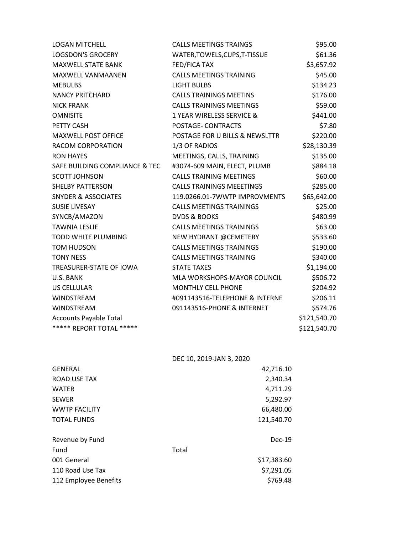| <b>LOGAN MITCHELL</b>          | <b>CALLS MEETINGS TRAINGS</b>    | \$95.00      |
|--------------------------------|----------------------------------|--------------|
| <b>LOGSDON'S GROCERY</b>       | WATER, TOWELS, CUPS, T-TISSUE    | \$61.36      |
| <b>MAXWELL STATE BANK</b>      | FED/FICA TAX                     | \$3,657.92   |
| MAXWELL VANMAANEN              | <b>CALLS MEETINGS TRAINING</b>   | \$45.00      |
| <b>MEBULBS</b>                 | <b>LIGHT BULBS</b>               | \$134.23     |
| <b>NANCY PRITCHARD</b>         | <b>CALLS TRAININGS MEETINS</b>   | \$176.00     |
| <b>NICK FRANK</b>              | <b>CALLS TRAININGS MEETINGS</b>  | \$59.00      |
| <b>OMNISITE</b>                | 1 YEAR WIRELESS SERVICE &        | \$441.00     |
| PETTY CASH                     | POSTAGE- CONTRACTS               | \$7.80       |
| <b>MAXWELL POST OFFICE</b>     | POSTAGE FOR U BILLS & NEWSLTTR   | \$220.00     |
| RACOM CORPORATION              | 1/3 OF RADIOS                    | \$28,130.39  |
| <b>RON HAYES</b>               | MEETINGS, CALLS, TRAINING        | \$135.00     |
| SAFE BUILDING COMPLIANCE & TEC | #3074-609 MAIN, ELECT, PLUMB     | \$884.18     |
| <b>SCOTT JOHNSON</b>           | <b>CALLS TRAINING MEETINGS</b>   | \$60.00      |
| <b>SHELBY PATTERSON</b>        | <b>CALLS TRAININGS MEEETINGS</b> | \$285.00     |
| <b>SNYDER &amp; ASSOCIATES</b> | 119.0266.01-7WWTP IMPROVMENTS    | \$65,642.00  |
| <b>SUSIE LIVESAY</b>           | <b>CALLS MEETINGS TRAININGS</b>  | \$25.00      |
| SYNCB/AMAZON                   | <b>DVDS &amp; BOOKS</b>          | \$480.99     |
| <b>TAWNIA LESLIE</b>           | <b>CALLS MEETINGS TRAININGS</b>  | \$63.00      |
| <b>TODD WHITE PLUMBING</b>     | NEW HYDRANT @CEMETERY            | \$533.60     |
| <b>TOM HUDSON</b>              | <b>CALLS MEETINGS TRAININGS</b>  | \$190.00     |
| <b>TONY NESS</b>               | <b>CALLS MEETINGS TRAINING</b>   | \$340.00     |
| TREASURER-STATE OF IOWA        | <b>STATE TAXES</b>               | \$1,194.00   |
| U.S. BANK                      | MLA WORKSHOPS-MAYOR COUNCIL      | \$506.72     |
| <b>US CELLULAR</b>             | <b>MONTHLY CELL PHONE</b>        | \$204.92     |
| WINDSTREAM                     | #091143516-TELEPHONE & INTERNE   | \$206.11     |
| WINDSTREAM                     | 091143516-PHONE & INTERNET       | \$574.76     |
| <b>Accounts Payable Total</b>  |                                  | \$121,540.70 |
| ***** REPORT TOTAL *****       |                                  | \$121,540.70 |

DEC 10, 2019-JAN 3, 2020

| <b>GENERAL</b>        |       | 42,716.10   |
|-----------------------|-------|-------------|
| <b>ROAD USE TAX</b>   |       | 2,340.34    |
| <b>WATER</b>          |       | 4,711.29    |
| <b>SEWER</b>          |       | 5,292.97    |
| <b>WWTP FACILITY</b>  |       | 66,480.00   |
| <b>TOTAL FUNDS</b>    |       | 121,540.70  |
| Revenue by Fund       |       | $Dec-19$    |
| Fund                  | Total |             |
| 001 General           |       | \$17,383.60 |
| 110 Road Use Tax      |       | \$7,291.05  |
| 112 Employee Benefits |       | \$769.48    |
|                       |       |             |